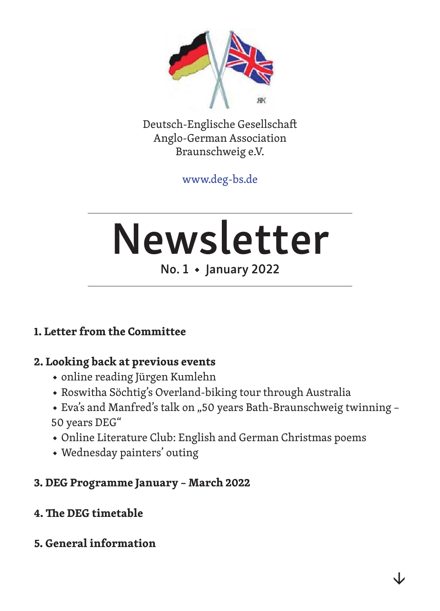

Deutsch-Englische Gesellschaft Anglo-German Association Braunschweig e.V.

www.deg-bs.de

# Newsletter

## No. 1 ◆ January 2022

#### **1. Letter from the Committee**

#### **2. Looking back at previous events**

- ◆ online reading Jürgen Kumlehn
- ◆ Roswitha Söchtig's Overland-biking tour through Australia
- ◆ Eva's and Manfred's talk on "50 years Bath-Braunschweig twinning 50 years DEG"
- ◆ Online Literature Club: English and German Christmas poems
- ◆ Wednesday painters' outing

#### **3. DEG Programme January – March 2022**

- **4. The DEG timetable**
- **5. General information**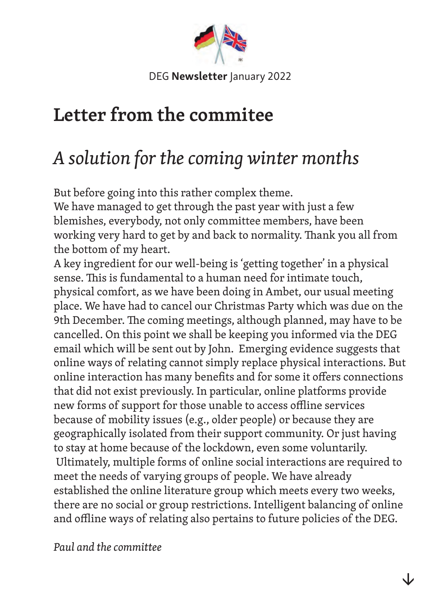

# **Letter from the commitee**

# *A solution for the coming winter months*

But before going into this rather complex theme.

We have managed to get through the past year with just a few blemishes, everybody, not only committee members, have been working very hard to get by and back to normality. Thank you all from the bottom of my heart.

A key ingredient for our well-being is 'getting together' in a physical sense. This is fundamental to a human need for intimate touch, physical comfort, as we have been doing in Ambet, our usual meeting place. We have had to cancel our Christmas Party which was due on the 9th December. The coming meetings, although planned, may have to be cancelled. On this point we shall be keeping you informed via the DEG email which will be sent out by John. Emerging evidence suggests that online ways of relating cannot simply replace physical interactions. But online interaction has many benefits and for some it offers connections that did not exist previously. In particular, online platforms provide new forms of support for those unable to access offline services because of mobility issues (e.g., older people) or because they are geographically isolated from their support community. Or just having to stay at home because of the lockdown, even some voluntarily. Ultimately, multiple forms of online social interactions are required to meet the needs of varying groups of people. We have already established the online literature group which meets every two weeks, there are no social or group restrictions. Intelligent balancing of online and offline ways of relating also pertains to future policies of the DEG.

*Paul and the committee*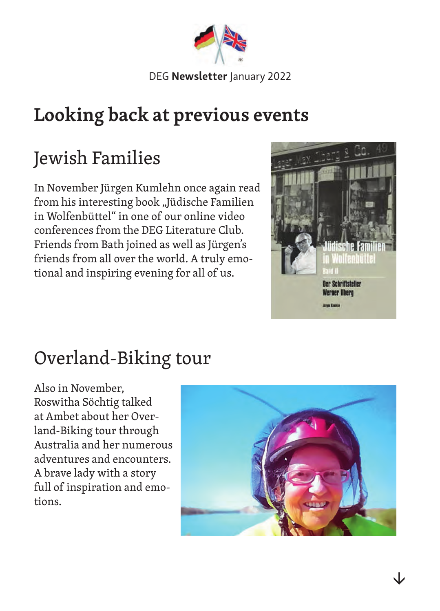

# **Looking back at previous events**

# Jewish Families

In November Jürgen Kumlehn once again read from his interesting book "Jüdische Familien in Wolfenbüttel" in one of our online video conferences from the DEG Literature Club. Friends from Bath joined as well as Jürgen's friends from all over the world. A truly emotional and inspiring evening for all of us.



# Overland-Biking tour

Also in November, Roswitha Söchtig talked at Ambet about her Overland-Biking tour through Australia and her numerous adventures and encounters. A brave lady with a story full of inspiration and emotions.

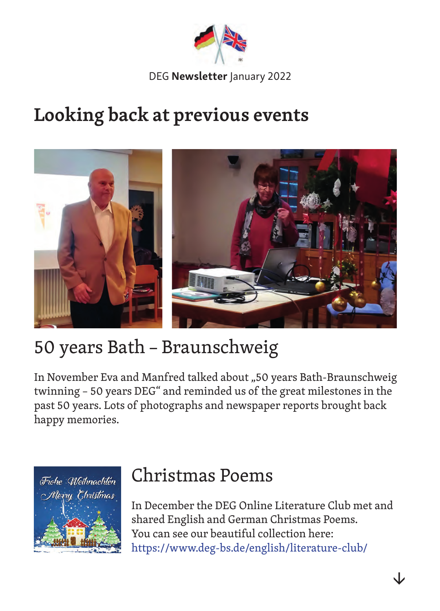

# **Looking back at previous events**



# 50 years Bath – Braunschweig

In November Eva and Manfred talked about "50 years Bath-Braunschweig twinning – 50 years DEG" and reminded us of the great milestones in the past 50 years. Lots of photographs and newspaper reports brought back happy memories.



## Christmas Poems

In December the DEG Online Literature Club met and shared English and German Christmas Poems. You can see our beautiful collection here: https://www.deg-bs.de/english/literature-club/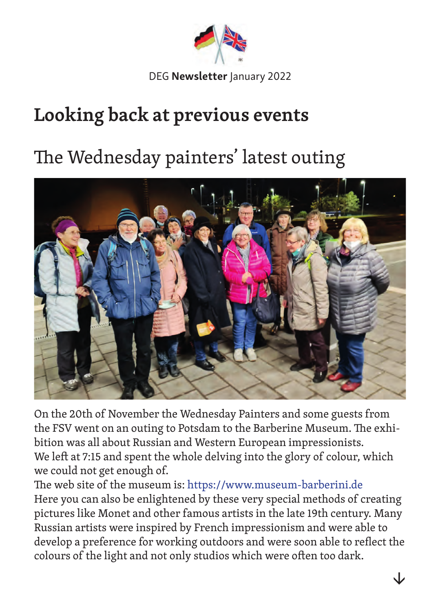

# **Looking back at previous events**

# The Wednesday painters' latest outing



On the 20th of November the Wednesday Painters and some guests from the FSV went on an outing to Potsdam to the Barberine Museum. The exhibition was all about Russian and Western European impressionists. We left at 7:15 and spent the whole delving into the glory of colour, which we could not get enough of.

The web site of the museum is: https://www.museum-barberini.de Here you can also be enlightened by these very special methods of creating pictures like Monet and other famous artists in the late 19th century. Many Russian artists were inspired by French impressionism and were able to develop a preference for working outdoors and were soon able to reflect the colours of the light and not only studios which were often too dark.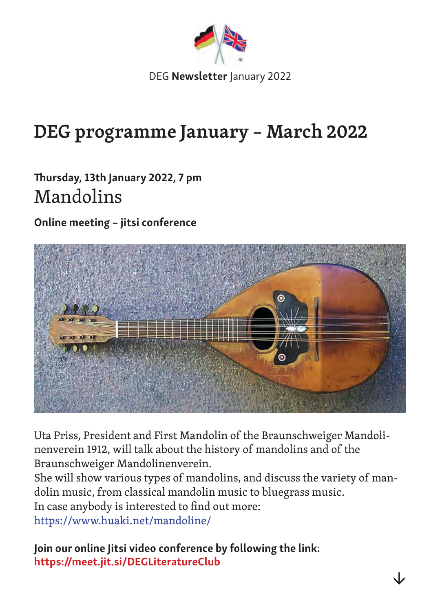

# **DEG programme January – March 2022**

## Thursday, 13th January 2022, 7 pm Mandolins

Online meeting – jitsi conference



Uta Priss, President and First Mandolin of the Braunschweiger Mandolinenverein 1912, will talk about the history of mandolins and of the Braunschweiger Mandolinenverein.

She will show various types of mandolins, and discuss the variety of mandolin music, from classical mandolin music to bluegrass music.

In case anybody is interested to find out more:

https://www.huaki.net/mandoline/

Join our online Jitsi video conference by following the link: https://meet.jit.si/DEGLiteratureClub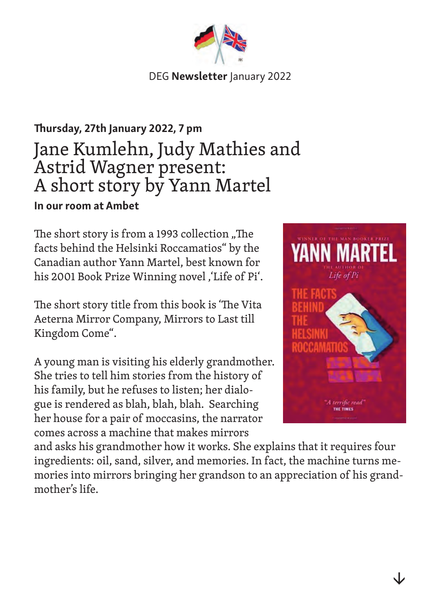## Thursday, 27th January 2022, 7 pm Jane Kumlehn, Judy Mathies and Astrid Wagner present: A short story by Yann Martel In our room at Ambet

The short story is from a 1993 collection "The facts behind the Helsinki Roccamatios" by the Canadian author Yann Martel, best known for his 2001 Book Prize Winning novel, 'Life of Pi'.

The short story title from this book is 'The Vita Aeterna Mirror Company, Mirrors to Last till Kingdom Come".

A young man is visiting his elderly grandmother. She tries to tell him stories from the history of his family, but he refuses to listen; her dialogue is rendered as blah, blah, blah. Searching her house for a pair of moccasins, the narrator comes across a machine that makes mirrors



and asks his grandmother how it works. She explains that it requires four ingredients: oil, sand, silver, and memories. In fact, the machine turns memories into mirrors bringing her grandson to an appreciation of his grandmother's life.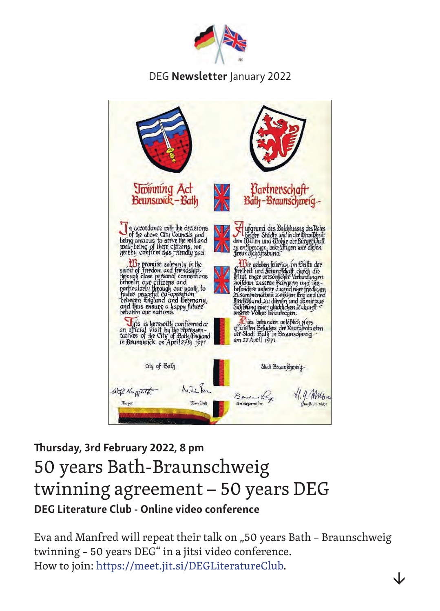



## Thursday, 3rd February 2022, 8 pm 50 years Bath-Braunschweig twinning agreement – 50 years DEG DEG Literature Club - Online video conference

Eva and Manfred will repeat their talk on "50 years Bath - Braunschweig twinning – 50 years DEG" in a jitsi video conference. How to join: https://meet.jit.si/DEGLiteratureClub.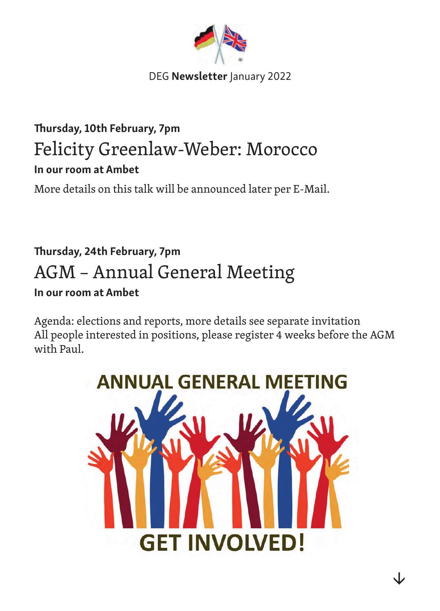

## Thursday, 10th February, 7pm Felicity Greenlaw-Weber: Morocco In our room at Ambet

More details on this talk will be announced later per E-Mail.

## Thursday, 24th February, 7pm AGM – Annual General Meeting In our room at Ambet

Agenda: elections and reports, more details see separate invitation All people interested in positions, please register 4 weeks before the AGM with Paul.

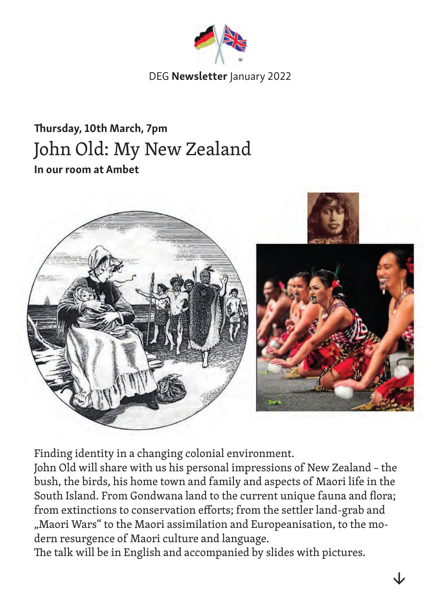

## Thursday, 10th March, 7pm John Old: My New Zealand In our room at Ambet



Finding identity in a changing colonial environment.

John Old will share with us his personal impressions of New Zealand – the bush, the birds, his home town and family and aspects of Maori life in the South Island. From Gondwana land to the current unique fauna and flora; from extinctions to conservation efforts; from the settler land-grab and "Maori Wars" to the Maori assimilation and Europeanisation, to the modern resurgence of Maori culture and language.

The talk will be in English and accompanied by slides with pictures.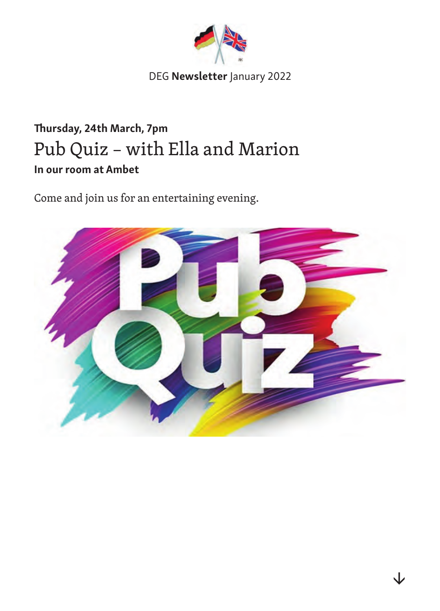

## Thursday, 24th March, 7pm Pub Quiz – with Ella and Marion In our room at Ambet

Come and join us for an entertaining evening.

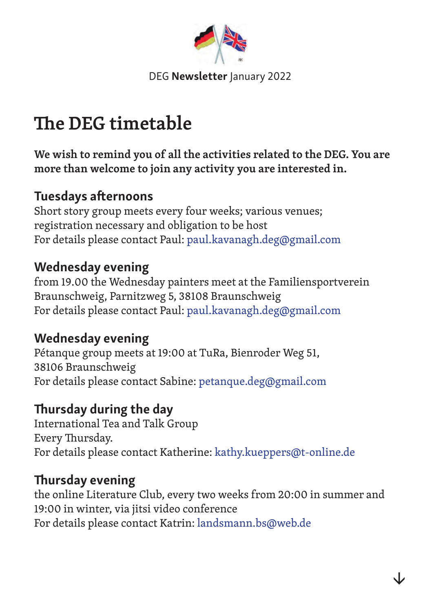

# **The DEG timetable**

**We wish to remind you of all the activities related to the DEG. You are more than welcome to join any activity you are interested in.** 

### Tuesdays afternoons

Short story group meets every four weeks; various venues; registration necessary and obligation to be host For details please contact Paul: paul.kavanagh.deg@gmail.com

### Wednesday evening

from 19.00 the Wednesday painters meet at the Familiensportverein Braunschweig, Parnitzweg 5, 38108 Braunschweig For details please contact Paul: paul.kavanagh.deg@gmail.com

## Wednesday evening

Pétanque group meets at 19:00 at TuRa, Bienroder Weg 51, 38106 Braunschweig For details please contact Sabine: petanque.deg@gmail.com

## Thursday during the day

International Tea and Talk Group Every Thursday. For details please contact Katherine: kathy.kueppers@t-online.de

## Thursday evening

the online Literature Club, every two weeks from 20:00 in summer and 19:00 in winter, via jitsi video conference For details please contact Katrin: landsmann.bs@web.de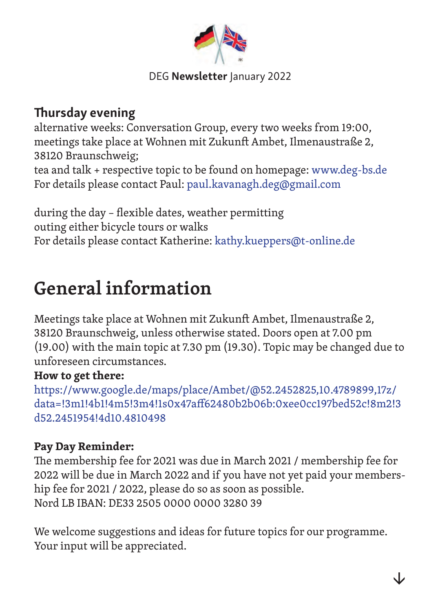

## Thursday evening

alternative weeks: Conversation Group, every two weeks from 19:00, meetings take place at Wohnen mit Zukunft Ambet, Ilmenaustraße 2, 38120 Braunschweig; tea and talk + respective topic to be found on homepage: www.deg-bs.de For details please contact Paul: paul.kavanagh.deg@gmail.com

during the day – flexible dates, weather permitting outing either bicycle tours or walks For details please contact Katherine: kathy.kueppers@t-online.de

# **General information**

Meetings take place at Wohnen mit Zukunft Ambet, Ilmenaustraße 2, 38120 Braunschweig, unless otherwise stated. Doors open at 7.00 pm (19.00) with the main topic at 7.30 pm (19.30). Topic may be changed due to unforeseen circumstances.

#### **How to get there:**

https://www.google.de/maps/place/Ambet/@52.2452825,10.4789899,17z/ data=!3m1!4b1!4m5!3m4!1s0x47aff62480b2b06b:0xee0cc197bed52c!8m2!3 d52.2451954!4d10.4810498

#### **Pay Day Reminder:**

The membership fee for 2021 was due in March 2021 / membership fee for 2022 will be due in March 2022 and if you have not yet paid your membership fee for 2021 / 2022, please do so as soon as possible. Nord LB IBAN: DE33 2505 0000 0000 3280 39

We welcome suggestions and ideas for future topics for our programme. Your input will be appreciated.